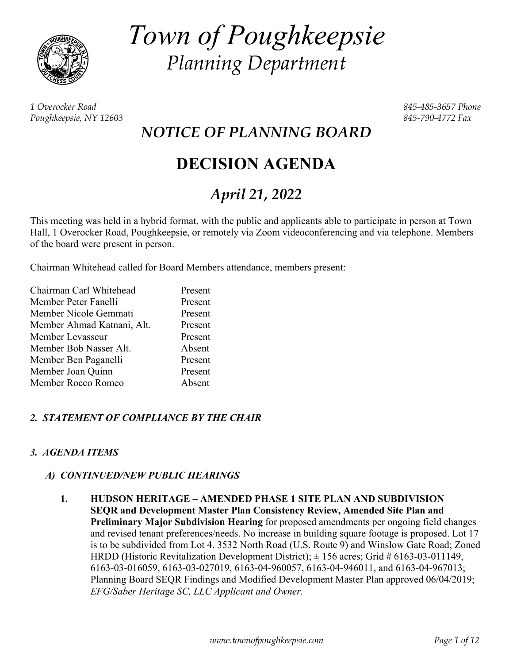

*Town of Poughkeepsie Planning Department* 

*1 Overocker Road 845-485-3657 Phone Poughkeepsie, NY 12603 845-790-4772 Fax* 

*NOTICE OF PLANNING BOARD* 

# **DECISION AGENDA**

# *April 21, 2022*

This meeting was held in a hybrid format, with the public and applicants able to participate in person at Town Hall, 1 Overocker Road, Poughkeepsie, or remotely via Zoom videoconferencing and via telephone. Members of the board were present in person.

Chairman Whitehead called for Board Members attendance, members present:

| Chairman Carl Whitehead    | Present |
|----------------------------|---------|
| Member Peter Fanelli       | Present |
| Member Nicole Gemmati      | Present |
| Member Ahmad Katnani, Alt. | Present |
| Member Levasseur           | Present |
| Member Bob Nasser Alt.     | Absent  |
| Member Ben Paganelli       | Present |
| Member Joan Quinn          | Present |
| Member Rocco Romeo         | Absent  |

# *2. STATEMENT OF COMPLIANCE BY THE CHAIR*

# *3. AGENDA ITEMS*

## *A) CONTINUED/NEW PUBLIC HEARINGS*

 **1. HUDSON HERITAGE – AMENDED PHASE 1 SITE PLAN AND SUBDIVISION SEQR and Development Master Plan Consistency Review, Amended Site Plan and Preliminary Major Subdivision Hearing** for proposed amendments per ongoing field changes and revised tenant preferences/needs. No increase in building square footage is proposed. Lot 17 is to be subdivided from Lot 4. 3532 North Road (U.S. Route 9) and Winslow Gate Road; Zoned HRDD (Historic Revitalization Development District);  $\pm$  156 acres; Grid # 6163-03-011149, 6163-03-016059, 6163-03-027019, 6163-04-960057, 6163-04-946011, and 6163-04-967013; Planning Board SEQR Findings and Modified Development Master Plan approved 06/04/2019; *EFG/Saber Heritage SC, LLC Applicant and Owner.*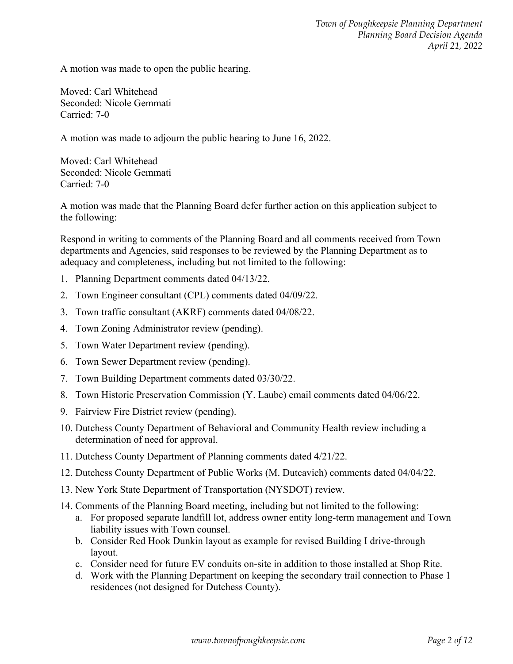A motion was made to open the public hearing.

Moved: Carl Whitehead Seconded: Nicole Gemmati Carried: 7-0

A motion was made to adjourn the public hearing to June 16, 2022.

Moved: Carl Whitehead Seconded: Nicole Gemmati Carried: 7-0

A motion was made that the Planning Board defer further action on this application subject to the following:

Respond in writing to comments of the Planning Board and all comments received from Town departments and Agencies, said responses to be reviewed by the Planning Department as to adequacy and completeness, including but not limited to the following:

- 1. Planning Department comments dated 04/13/22.
- 2. Town Engineer consultant (CPL) comments dated 04/09/22.
- 3. Town traffic consultant (AKRF) comments dated 04/08/22.
- 4. Town Zoning Administrator review (pending).
- 5. Town Water Department review (pending).
- 6. Town Sewer Department review (pending).
- 7. Town Building Department comments dated 03/30/22.
- 8. Town Historic Preservation Commission (Y. Laube) email comments dated 04/06/22.
- 9. Fairview Fire District review (pending).
- 10. Dutchess County Department of Behavioral and Community Health review including a determination of need for approval.
- 11. Dutchess County Department of Planning comments dated 4/21/22.
- 12. Dutchess County Department of Public Works (M. Dutcavich) comments dated 04/04/22.
- 13. New York State Department of Transportation (NYSDOT) review.
- 14. Comments of the Planning Board meeting, including but not limited to the following:
	- a. For proposed separate landfill lot, address owner entity long-term management and Town liability issues with Town counsel.
	- b. Consider Red Hook Dunkin layout as example for revised Building I drive-through layout.
	- c. Consider need for future EV conduits on-site in addition to those installed at Shop Rite.
	- d. Work with the Planning Department on keeping the secondary trail connection to Phase 1 residences (not designed for Dutchess County).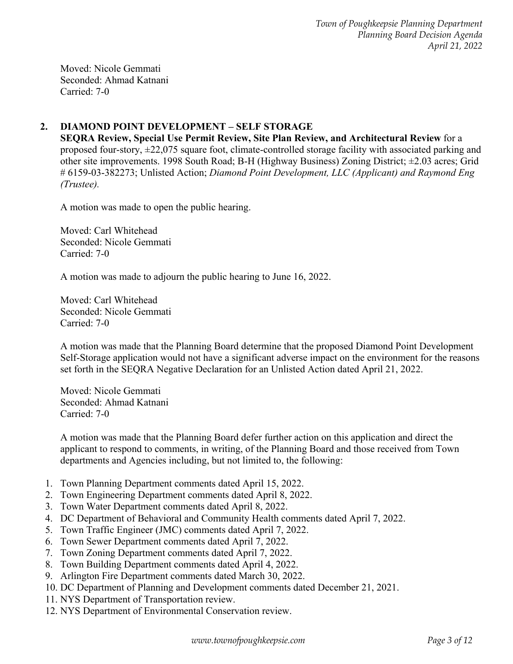Moved: Nicole Gemmati Seconded: Ahmad Katnani Carried: 7-0

# **2. DIAMOND POINT DEVELOPMENT – SELF STORAGE**

**SEQRA Review, Special Use Permit Review, Site Plan Review, and Architectural Review** for a proposed four-story, ±22,075 square foot, climate-controlled storage facility with associated parking and other site improvements. 1998 South Road; B-H (Highway Business) Zoning District; ±2.03 acres; Grid # 6159-03-382273; Unlisted Action; *Diamond Point Development, LLC (Applicant) and Raymond Eng (Trustee).* 

A motion was made to open the public hearing.

Moved: Carl Whitehead Seconded: Nicole Gemmati Carried: 7-0

A motion was made to adjourn the public hearing to June 16, 2022.

Moved: Carl Whitehead Seconded: Nicole Gemmati Carried: 7-0

A motion was made that the Planning Board determine that the proposed Diamond Point Development Self-Storage application would not have a significant adverse impact on the environment for the reasons set forth in the SEQRA Negative Declaration for an Unlisted Action dated April 21, 2022.

Moved: Nicole Gemmati Seconded: Ahmad Katnani Carried: 7-0

A motion was made that the Planning Board defer further action on this application and direct the applicant to respond to comments, in writing, of the Planning Board and those received from Town departments and Agencies including, but not limited to, the following:

- 1. Town Planning Department comments dated April 15, 2022.
- 2. Town Engineering Department comments dated April 8, 2022.
- 3. Town Water Department comments dated April 8, 2022.
- 4. DC Department of Behavioral and Community Health comments dated April 7, 2022.
- 5. Town Traffic Engineer (JMC) comments dated April 7, 2022.
- 6. Town Sewer Department comments dated April 7, 2022.
- 7. Town Zoning Department comments dated April 7, 2022.
- 8. Town Building Department comments dated April 4, 2022.
- 9. Arlington Fire Department comments dated March 30, 2022.
- 10. DC Department of Planning and Development comments dated December 21, 2021.
- 11. NYS Department of Transportation review.
- 12. NYS Department of Environmental Conservation review.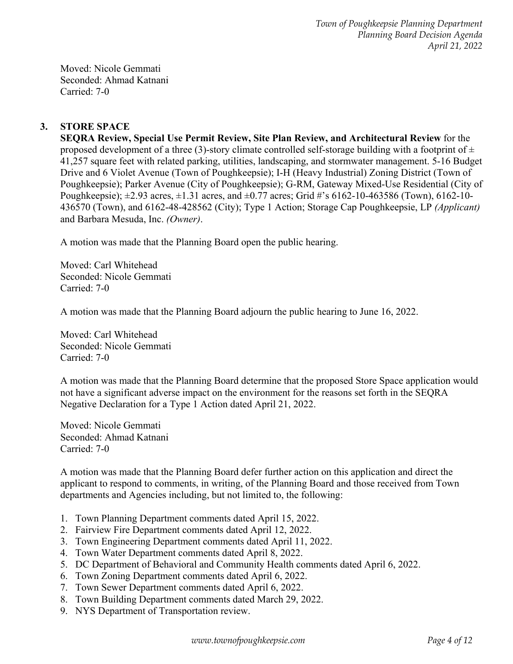Moved: Nicole Gemmati Seconded: Ahmad Katnani Carried: 7-0

# **3. STORE SPACE**

**SEQRA Review, Special Use Permit Review, Site Plan Review, and Architectural Review** for the proposed development of a three (3)-story climate controlled self-storage building with a footprint of  $\pm$ 41,257 square feet with related parking, utilities, landscaping, and stormwater management. 5-16 Budget Drive and 6 Violet Avenue (Town of Poughkeepsie); I-H (Heavy Industrial) Zoning District (Town of Poughkeepsie); Parker Avenue (City of Poughkeepsie); G-RM, Gateway Mixed-Use Residential (City of Poughkeepsie);  $\pm 2.93$  acres,  $\pm 1.31$  acres, and  $\pm 0.77$  acres; Grid #'s 6162-10-463586 (Town), 6162-10-436570 (Town), and 6162-48-428562 (City); Type 1 Action; Storage Cap Poughkeepsie, LP *(Applicant)* and Barbara Mesuda, Inc. *(Owner)*.

A motion was made that the Planning Board open the public hearing.

Moved: Carl Whitehead Seconded: Nicole Gemmati Carried: 7-0

A motion was made that the Planning Board adjourn the public hearing to June 16, 2022.

Moved: Carl Whitehead Seconded: Nicole Gemmati Carried: 7-0

A motion was made that the Planning Board determine that the proposed Store Space application would not have a significant adverse impact on the environment for the reasons set forth in the SEQRA Negative Declaration for a Type 1 Action dated April 21, 2022.

Moved: Nicole Gemmati Seconded: Ahmad Katnani Carried: 7-0

A motion was made that the Planning Board defer further action on this application and direct the applicant to respond to comments, in writing, of the Planning Board and those received from Town departments and Agencies including, but not limited to, the following:

- 1. Town Planning Department comments dated April 15, 2022.
- 2. Fairview Fire Department comments dated April 12, 2022.
- 3. Town Engineering Department comments dated April 11, 2022.
- 4. Town Water Department comments dated April 8, 2022.
- 5. DC Department of Behavioral and Community Health comments dated April 6, 2022.
- 6. Town Zoning Department comments dated April 6, 2022.
- 7. Town Sewer Department comments dated April 6, 2022.
- 8. Town Building Department comments dated March 29, 2022.
- 9. NYS Department of Transportation review.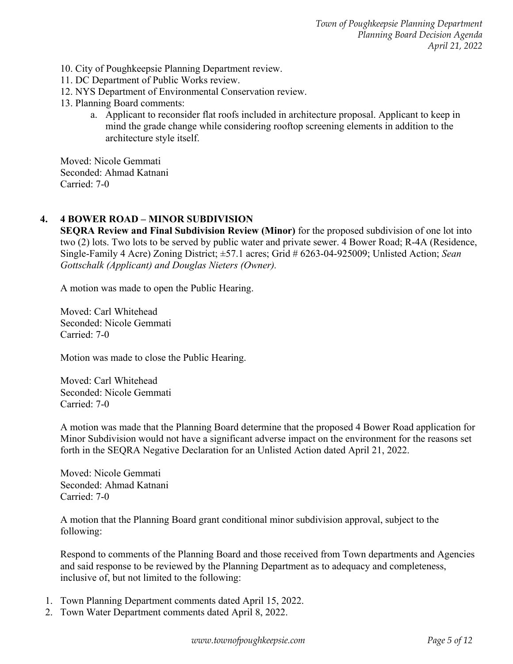- 10. City of Poughkeepsie Planning Department review.
- 11. DC Department of Public Works review.
- 12. NYS Department of Environmental Conservation review.
- 13. Planning Board comments:
	- a. Applicant to reconsider flat roofs included in architecture proposal. Applicant to keep in mind the grade change while considering rooftop screening elements in addition to the architecture style itself.

Moved: Nicole Gemmati Seconded: Ahmad Katnani Carried: 7-0

## **4. 4 BOWER ROAD – MINOR SUBDIVISION**

**SEQRA Review and Final Subdivision Review (Minor)** for the proposed subdivision of one lot into two (2) lots. Two lots to be served by public water and private sewer. 4 Bower Road; R-4A (Residence, Single-Family 4 Acre) Zoning District; ±57.1 acres; Grid # 6263-04-925009; Unlisted Action; *Sean Gottschalk (Applicant) and Douglas Nieters (Owner).*

A motion was made to open the Public Hearing.

Moved: Carl Whitehead Seconded: Nicole Gemmati Carried: 7-0

Motion was made to close the Public Hearing.

Moved: Carl Whitehead Seconded: Nicole Gemmati Carried: 7-0

A motion was made that the Planning Board determine that the proposed 4 Bower Road application for Minor Subdivision would not have a significant adverse impact on the environment for the reasons set forth in the SEQRA Negative Declaration for an Unlisted Action dated April 21, 2022.

Moved: Nicole Gemmati Seconded: Ahmad Katnani Carried: 7-0

A motion that the Planning Board grant conditional minor subdivision approval, subject to the following:

Respond to comments of the Planning Board and those received from Town departments and Agencies and said response to be reviewed by the Planning Department as to adequacy and completeness, inclusive of, but not limited to the following:

- 1. Town Planning Department comments dated April 15, 2022.
- 2. Town Water Department comments dated April 8, 2022.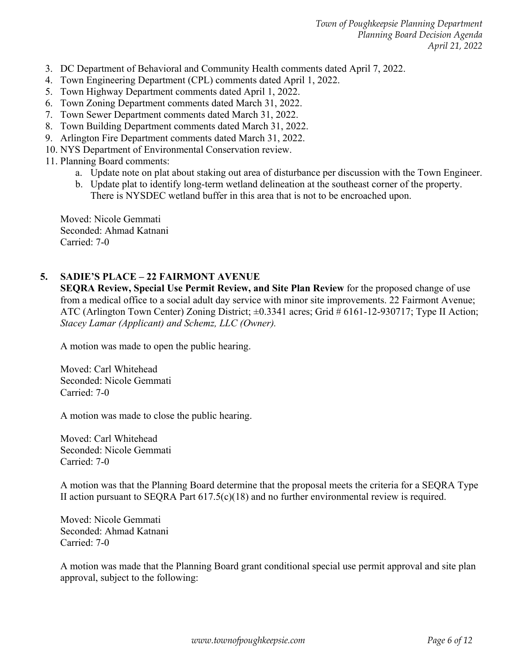- 3. DC Department of Behavioral and Community Health comments dated April 7, 2022.
- 4. Town Engineering Department (CPL) comments dated April 1, 2022.
- 5. Town Highway Department comments dated April 1, 2022.
- 6. Town Zoning Department comments dated March 31, 2022.
- 7. Town Sewer Department comments dated March 31, 2022.
- 8. Town Building Department comments dated March 31, 2022.
- 9. Arlington Fire Department comments dated March 31, 2022.
- 10. NYS Department of Environmental Conservation review.
- 11. Planning Board comments:
	- a. Update note on plat about staking out area of disturbance per discussion with the Town Engineer.
	- b. Update plat to identify long-term wetland delineation at the southeast corner of the property. There is NYSDEC wetland buffer in this area that is not to be encroached upon.

Moved: Nicole Gemmati Seconded: Ahmad Katnani Carried: 7-0

## **5. SADIE'S PLACE – 22 FAIRMONT AVENUE**

**SEQRA Review, Special Use Permit Review, and Site Plan Review** for the proposed change of use from a medical office to a social adult day service with minor site improvements. 22 Fairmont Avenue; ATC (Arlington Town Center) Zoning District; ±0.3341 acres; Grid # 6161-12-930717; Type II Action; *Stacey Lamar (Applicant) and Schemz, LLC (Owner).* 

A motion was made to open the public hearing.

Moved: Carl Whitehead Seconded: Nicole Gemmati Carried: 7-0

A motion was made to close the public hearing.

Moved: Carl Whitehead Seconded: Nicole Gemmati Carried: 7-0

A motion was that the Planning Board determine that the proposal meets the criteria for a SEQRA Type II action pursuant to SEQRA Part  $617.5(c)(18)$  and no further environmental review is required.

Moved: Nicole Gemmati Seconded: Ahmad Katnani Carried: 7-0

A motion was made that the Planning Board grant conditional special use permit approval and site plan approval, subject to the following: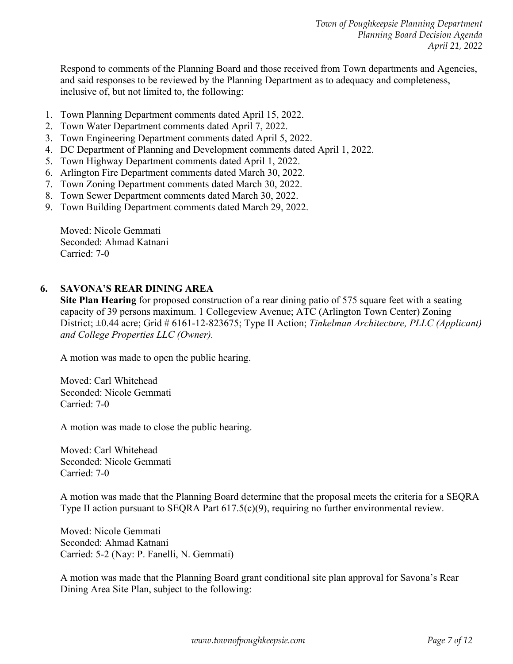Respond to comments of the Planning Board and those received from Town departments and Agencies, and said responses to be reviewed by the Planning Department as to adequacy and completeness, inclusive of, but not limited to, the following:

- 1. Town Planning Department comments dated April 15, 2022.
- 2. Town Water Department comments dated April 7, 2022.
- 3. Town Engineering Department comments dated April 5, 2022.
- 4. DC Department of Planning and Development comments dated April 1, 2022.
- 5. Town Highway Department comments dated April 1, 2022.
- 6. Arlington Fire Department comments dated March 30, 2022.
- 7. Town Zoning Department comments dated March 30, 2022.
- 8. Town Sewer Department comments dated March 30, 2022.
- 9. Town Building Department comments dated March 29, 2022.

Moved: Nicole Gemmati Seconded: Ahmad Katnani Carried: 7-0

## **6. SAVONA'S REAR DINING AREA**

**Site Plan Hearing** for proposed construction of a rear dining patio of 575 square feet with a seating capacity of 39 persons maximum. 1 Collegeview Avenue; ATC (Arlington Town Center) Zoning District; ±0.44 acre; Grid # 6161-12-823675; Type II Action; *Tinkelman Architecture, PLLC (Applicant) and College Properties LLC (Owner).*

A motion was made to open the public hearing.

Moved: Carl Whitehead Seconded: Nicole Gemmati Carried: 7-0

A motion was made to close the public hearing.

Moved: Carl Whitehead Seconded: Nicole Gemmati Carried: 7-0

A motion was made that the Planning Board determine that the proposal meets the criteria for a SEQRA Type II action pursuant to SEQRA Part 617.5(c)(9), requiring no further environmental review.

Moved: Nicole Gemmati Seconded: Ahmad Katnani Carried: 5-2 (Nay: P. Fanelli, N. Gemmati)

A motion was made that the Planning Board grant conditional site plan approval for Savona's Rear Dining Area Site Plan, subject to the following: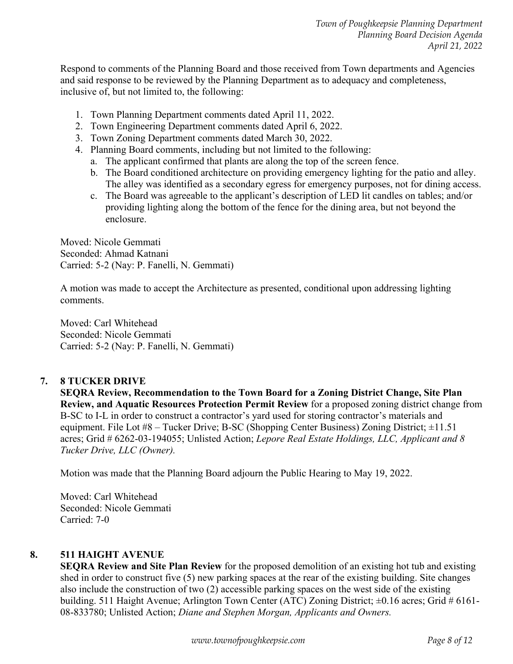Respond to comments of the Planning Board and those received from Town departments and Agencies and said response to be reviewed by the Planning Department as to adequacy and completeness, inclusive of, but not limited to, the following:

- 1. Town Planning Department comments dated April 11, 2022.
- 2. Town Engineering Department comments dated April 6, 2022.
- 3. Town Zoning Department comments dated March 30, 2022.
- 4. Planning Board comments, including but not limited to the following:
	- a. The applicant confirmed that plants are along the top of the screen fence.
	- b. The Board conditioned architecture on providing emergency lighting for the patio and alley. The alley was identified as a secondary egress for emergency purposes, not for dining access.
	- c. The Board was agreeable to the applicant's description of LED lit candles on tables; and/or providing lighting along the bottom of the fence for the dining area, but not beyond the enclosure.

Moved: Nicole Gemmati Seconded: Ahmad Katnani Carried: 5-2 (Nay: P. Fanelli, N. Gemmati)

A motion was made to accept the Architecture as presented, conditional upon addressing lighting comments.

Moved: Carl Whitehead Seconded: Nicole Gemmati Carried: 5-2 (Nay: P. Fanelli, N. Gemmati)

## **7. 8 TUCKER DRIVE**

**SEQRA Review, Recommendation to the Town Board for a Zoning District Change, Site Plan Review, and Aquatic Resources Protection Permit Review** for a proposed zoning district change from B-SC to I-L in order to construct a contractor's yard used for storing contractor's materials and equipment. File Lot #8 – Tucker Drive; B-SC (Shopping Center Business) Zoning District; ±11.51 acres; Grid # 6262-03-194055; Unlisted Action; *Lepore Real Estate Holdings, LLC, Applicant and 8 Tucker Drive, LLC (Owner).*

Motion was made that the Planning Board adjourn the Public Hearing to May 19, 2022.

Moved: Carl Whitehead Seconded: Nicole Gemmati Carried: 7-0

## **8. 511 HAIGHT AVENUE**

**SEQRA Review and Site Plan Review** for the proposed demolition of an existing hot tub and existing shed in order to construct five (5) new parking spaces at the rear of the existing building. Site changes also include the construction of two (2) accessible parking spaces on the west side of the existing building. 511 Haight Avenue; Arlington Town Center (ATC) Zoning District; ±0.16 acres; Grid # 6161- 08-833780; Unlisted Action; *Diane and Stephen Morgan, Applicants and Owners.*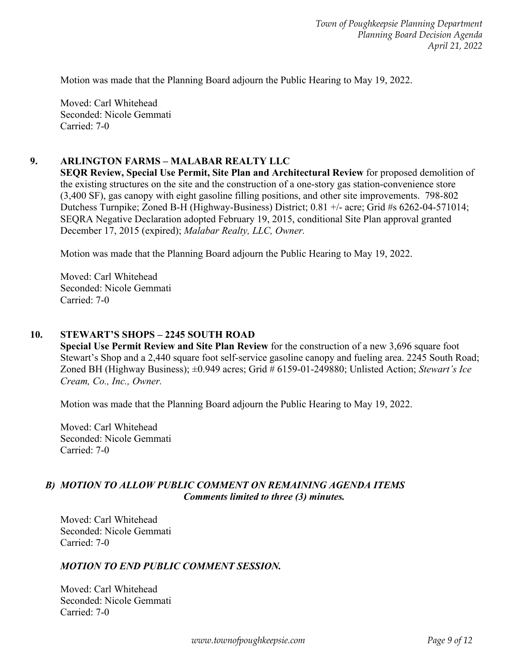Motion was made that the Planning Board adjourn the Public Hearing to May 19, 2022.

Moved: Carl Whitehead Seconded: Nicole Gemmati Carried: 7-0

## **9. ARLINGTON FARMS – MALABAR REALTY LLC**

**SEQR Review, Special Use Permit, Site Plan and Architectural Review** for proposed demolition of the existing structures on the site and the construction of a one-story gas station-convenience store (3,400 SF), gas canopy with eight gasoline filling positions, and other site improvements. 798-802 Dutchess Turnpike; Zoned B-H (Highway-Business) District; 0.81 +/- acre; Grid #s 6262-04-571014; SEQRA Negative Declaration adopted February 19, 2015, conditional Site Plan approval granted December 17, 2015 (expired); *Malabar Realty, LLC, Owner.* 

Motion was made that the Planning Board adjourn the Public Hearing to May 19, 2022.

Moved: Carl Whitehead Seconded: Nicole Gemmati Carried: 7-0

#### **10. STEWART'S SHOPS – 2245 SOUTH ROAD**

**Special Use Permit Review and Site Plan Review** for the construction of a new 3,696 square foot Stewart's Shop and a 2,440 square foot self-service gasoline canopy and fueling area. 2245 South Road; Zoned BH (Highway Business); ±0.949 acres; Grid # 6159-01-249880; Unlisted Action; *Stewart's Ice Cream, Co., Inc., Owner.* 

Motion was made that the Planning Board adjourn the Public Hearing to May 19, 2022.

Moved: Carl Whitehead Seconded: Nicole Gemmati Carried: 7-0

#### *B) MOTION TO ALLOW PUBLIC COMMENT ON REMAINING AGENDA ITEMS Comments limited to three (3) minutes.*

 Moved: Carl Whitehead Seconded: Nicole Gemmati Carried: 7-0

#### *MOTION TO END PUBLIC COMMENT SESSION.*

 Moved: Carl Whitehead Seconded: Nicole Gemmati Carried: 7-0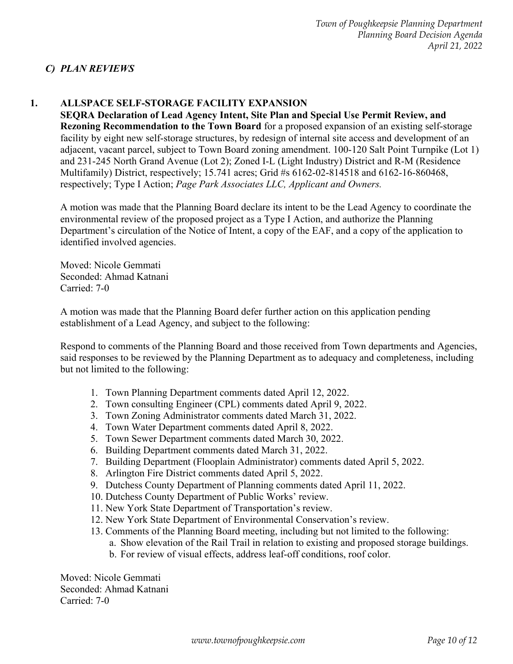# *C) PLAN REVIEWS*

# **1. ALLSPACE SELF-STORAGE FACILITY EXPANSION**

**SEQRA Declaration of Lead Agency Intent, Site Plan and Special Use Permit Review, and Rezoning Recommendation to the Town Board** for a proposed expansion of an existing self-storage facility by eight new self-storage structures, by redesign of internal site access and development of an adjacent, vacant parcel, subject to Town Board zoning amendment. 100-120 Salt Point Turnpike (Lot 1) and 231-245 North Grand Avenue (Lot 2); Zoned I-L (Light Industry) District and R-M (Residence Multifamily) District, respectively; 15.741 acres; Grid #s 6162-02-814518 and 6162-16-860468, respectively; Type I Action; *Page Park Associates LLC, Applicant and Owners.* 

A motion was made that the Planning Board declare its intent to be the Lead Agency to coordinate the environmental review of the proposed project as a Type I Action, and authorize the Planning Department's circulation of the Notice of Intent, a copy of the EAF, and a copy of the application to identified involved agencies.

Moved: Nicole Gemmati Seconded: Ahmad Katnani Carried: 7-0

A motion was made that the Planning Board defer further action on this application pending establishment of a Lead Agency, and subject to the following:

Respond to comments of the Planning Board and those received from Town departments and Agencies, said responses to be reviewed by the Planning Department as to adequacy and completeness, including but not limited to the following:

- 1. Town Planning Department comments dated April 12, 2022.
- 2. Town consulting Engineer (CPL) comments dated April 9, 2022.
- 3. Town Zoning Administrator comments dated March 31, 2022.
- 4. Town Water Department comments dated April 8, 2022.
- 5. Town Sewer Department comments dated March 30, 2022.
- 6. Building Department comments dated March 31, 2022.
- 7. Building Department (Flooplain Administrator) comments dated April 5, 2022.
- 8. Arlington Fire District comments dated April 5, 2022.
- 9. Dutchess County Department of Planning comments dated April 11, 2022.
- 10. Dutchess County Department of Public Works' review.
- 11. New York State Department of Transportation's review.
- 12. New York State Department of Environmental Conservation's review.
- 13. Comments of the Planning Board meeting, including but not limited to the following:
	- a. Show elevation of the Rail Trail in relation to existing and proposed storage buildings.
	- b. For review of visual effects, address leaf-off conditions, roof color.

Moved: Nicole Gemmati Seconded: Ahmad Katnani Carried: 7-0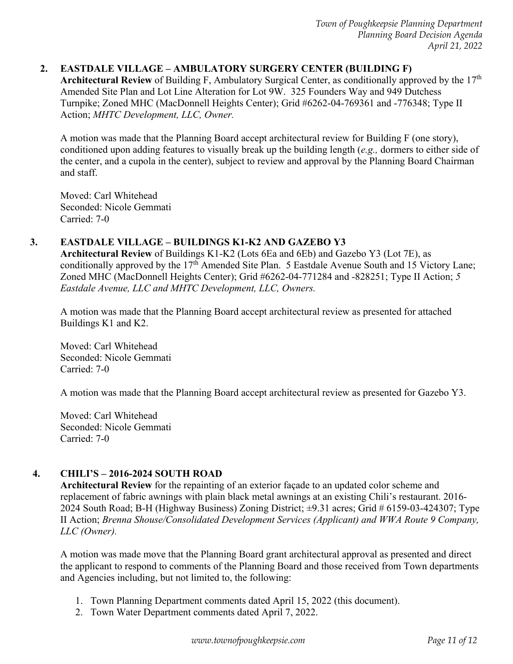# **2. EASTDALE VILLAGE – AMBULATORY SURGERY CENTER (BUILDING F)**

**Architectural Review** of Building F, Ambulatory Surgical Center, as conditionally approved by the 17th Amended Site Plan and Lot Line Alteration for Lot 9W. 325 Founders Way and 949 Dutchess Turnpike; Zoned MHC (MacDonnell Heights Center); Grid #6262-04-769361 and -776348; Type II Action; *MHTC Development, LLC, Owner.* 

A motion was made that the Planning Board accept architectural review for Building F (one story), conditioned upon adding features to visually break up the building length (*e.g.,* dormers to either side of the center, and a cupola in the center), subject to review and approval by the Planning Board Chairman and staff.

Moved: Carl Whitehead Seconded: Nicole Gemmati Carried: 7-0

## **3. EASTDALE VILLAGE – BUILDINGS K1-K2 AND GAZEBO Y3**

**Architectural Review** of Buildings K1-K2 (Lots 6Ea and 6Eb) and Gazebo Y3 (Lot 7E), as conditionally approved by the 17<sup>th</sup> Amended Site Plan. 5 Eastdale Avenue South and 15 Victory Lane; Zoned MHC (MacDonnell Heights Center); Grid #6262-04-771284 and -828251; Type II Action; *5 Eastdale Avenue, LLC and MHTC Development, LLC, Owners.* 

A motion was made that the Planning Board accept architectural review as presented for attached Buildings K1 and K2.

Moved: Carl Whitehead Seconded: Nicole Gemmati Carried: 7-0

A motion was made that the Planning Board accept architectural review as presented for Gazebo Y3.

Moved: Carl Whitehead Seconded: Nicole Gemmati Carried: 7-0

# **4. CHILI'S – 2016-2024 SOUTH ROAD**

**Architectural Review** for the repainting of an exterior façade to an updated color scheme and replacement of fabric awnings with plain black metal awnings at an existing Chili's restaurant. 2016- 2024 South Road; B-H (Highway Business) Zoning District; ±9.31 acres; Grid # 6159-03-424307; Type II Action; *Brenna Shouse/Consolidated Development Services (Applicant) and WWA Route 9 Company, LLC (Owner).*

A motion was made move that the Planning Board grant architectural approval as presented and direct the applicant to respond to comments of the Planning Board and those received from Town departments and Agencies including, but not limited to, the following:

- 1. Town Planning Department comments dated April 15, 2022 (this document).
- 2. Town Water Department comments dated April 7, 2022.